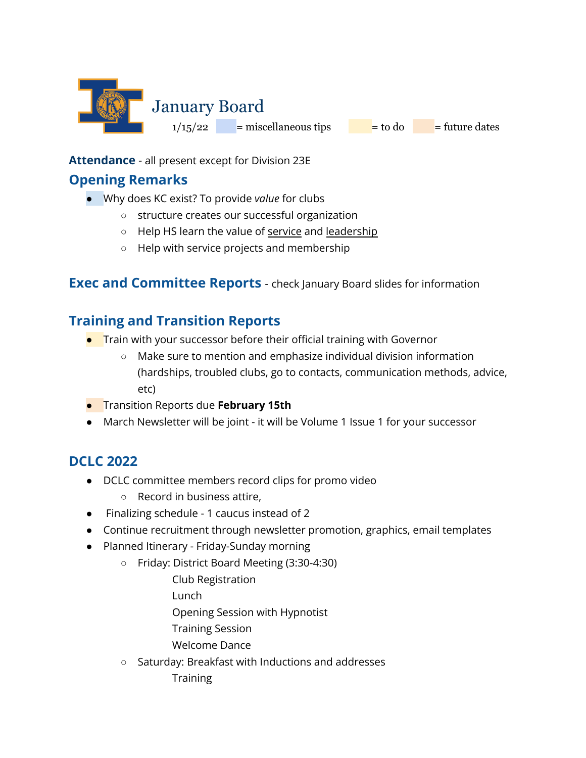

**Attendance** - all present except for Division 23E

#### **Opening Remarks**

- Why does KC exist? To provide *value* for clubs
	- structure creates our successful organization
	- Help HS learn the value of service and leadership
	- Help with service projects and membership

#### **Exec and Committee Reports** - check January Board slides for information

## **Training and Transition Reports**

- **•** Train with your successor before their official training with Governor
	- Make sure to mention and emphasize individual division information (hardships, troubled clubs, go to contacts, communication methods, advice, etc)
- Transition Reports due **February 15th**
- March Newsletter will be joint it will be Volume 1 Issue 1 for your successor

# **DCLC 2022**

- DCLC committee members record clips for promo video
	- Record in business attire,
- Finalizing schedule 1 caucus instead of 2
- Continue recruitment through newsletter promotion, graphics, email templates
- Planned Itinerary Friday-Sunday morning
	- Friday: District Board Meeting (3:30-4:30)
		- Club Registration
		- Lunch
		- Opening Session with Hypnotist
		- Training Session
		- Welcome Dance
	- Saturday: Breakfast with Inductions and addresses
		- **Training**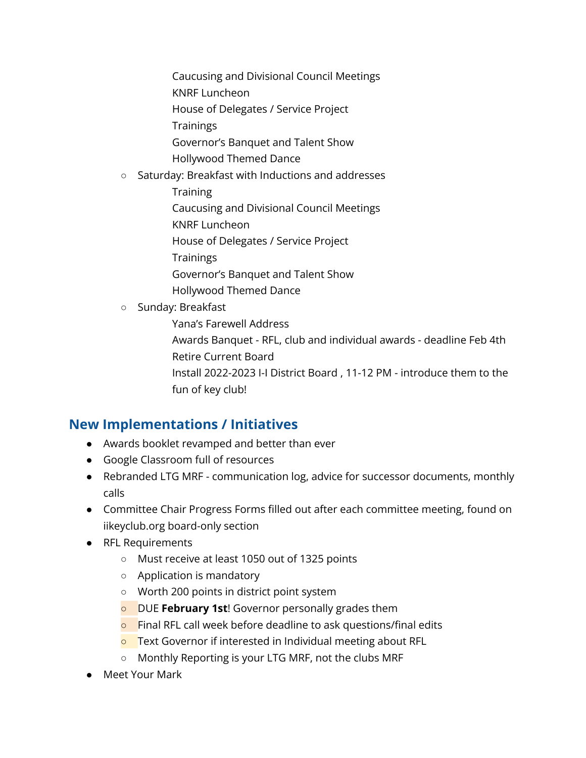Caucusing and Divisional Council Meetings

- KNRF Luncheon
- House of Delegates / Service Project
- **Trainings**
- Governor's Banquet and Talent Show
- Hollywood Themed Dance
- Saturday: Breakfast with Inductions and addresses
	- **Training**
	- Caucusing and Divisional Council Meetings
	- KNRF Luncheon
	- House of Delegates / Service Project
	- **Trainings**
	- Governor's Banquet and Talent Show
	- Hollywood Themed Dance
- Sunday: Breakfast
	- Yana's Farewell Address Awards Banquet - RFL, club and individual awards - deadline Feb 4th Retire Current Board Install 2022-2023 I-I District Board , 11-12 PM - introduce them to the fun of key club!

## **New Implementations / Initiatives**

- Awards booklet revamped and better than ever
- Google Classroom full of resources
- Rebranded LTG MRF communication log, advice for successor documents, monthly calls
- Committee Chair Progress Forms filled out after each committee meeting, found on iikeyclub.org board-only section
- RFL Requirements
	- Must receive at least 1050 out of 1325 points
	- Application is mandatory
	- Worth 200 points in district point system
	- DUE **February 1st**! Governor personally grades them
	- **o** Final RFL call week before deadline to ask questions/final edits
	- **O** Text Governor if interested in Individual meeting about RFL
	- Monthly Reporting is your LTG MRF, not the clubs MRF
- Meet Your Mark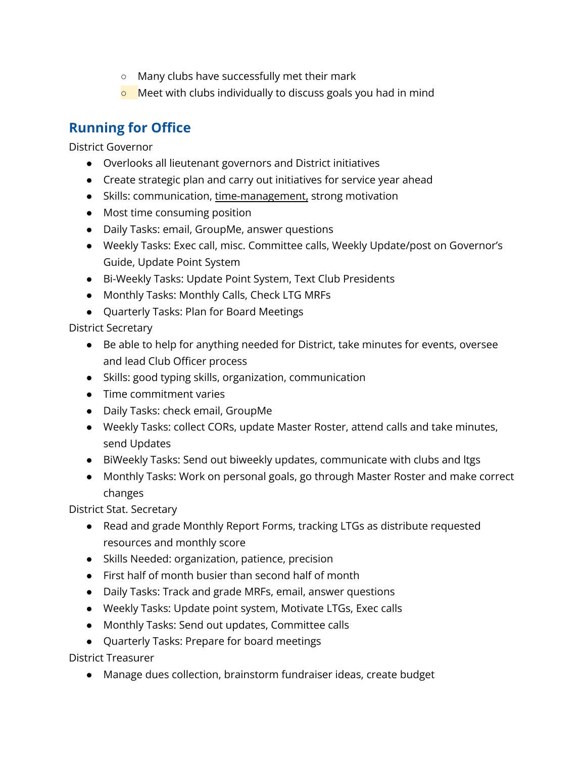- Many clubs have successfully met their mark
- **O** Meet with clubs individually to discuss goals you had in mind

# **Running for Office**

District Governor

- Overlooks all lieutenant governors and District initiatives
- Create strategic plan and carry out initiatives for service year ahead
- Skills: communication, time-management, strong motivation
- Most time consuming position
- Daily Tasks: email, GroupMe, answer questions
- Weekly Tasks: Exec call, misc. Committee calls, Weekly Update/post on Governor's Guide, Update Point System
- Bi-Weekly Tasks: Update Point System, Text Club Presidents
- Monthly Tasks: Monthly Calls, Check LTG MRFs
- Quarterly Tasks: Plan for Board Meetings

District Secretary

- Be able to help for anything needed for District, take minutes for events, oversee and lead Club Officer process
- Skills: good typing skills, organization, communication
- Time commitment varies
- Daily Tasks: check email, GroupMe
- Weekly Tasks: collect CORs, update Master Roster, attend calls and take minutes, send Updates
- BiWeekly Tasks: Send out biweekly updates, communicate with clubs and ltgs
- Monthly Tasks: Work on personal goals, go through Master Roster and make correct changes

District Stat. Secretary

- Read and grade Monthly Report Forms, tracking LTGs as distribute requested resources and monthly score
- Skills Needed: organization, patience, precision
- First half of month busier than second half of month
- Daily Tasks: Track and grade MRFs, email, answer questions
- Weekly Tasks: Update point system, Motivate LTGs, Exec calls
- Monthly Tasks: Send out updates, Committee calls
- Quarterly Tasks: Prepare for board meetings

District Treasurer

● Manage dues collection, brainstorm fundraiser ideas, create budget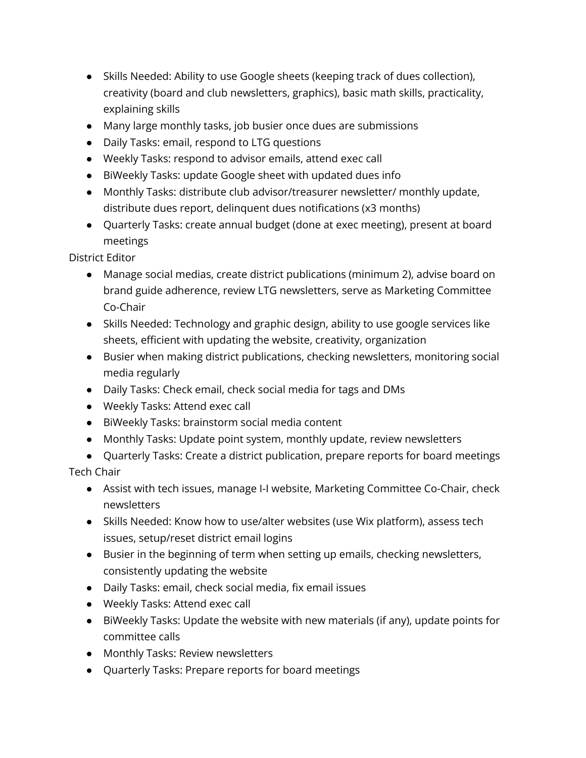- Skills Needed: Ability to use Google sheets (keeping track of dues collection), creativity (board and club newsletters, graphics), basic math skills, practicality, explaining skills
- Many large monthly tasks, job busier once dues are submissions
- Daily Tasks: email, respond to LTG questions
- Weekly Tasks: respond to advisor emails, attend exec call
- BiWeekly Tasks: update Google sheet with updated dues info
- Monthly Tasks: distribute club advisor/treasurer newsletter/ monthly update, distribute dues report, delinquent dues notifications (x3 months)
- Quarterly Tasks: create annual budget (done at exec meeting), present at board meetings

District Editor

- Manage social medias, create district publications (minimum 2), advise board on brand guide adherence, review LTG newsletters, serve as Marketing Committee Co-Chair
- Skills Needed: Technology and graphic design, ability to use google services like sheets, efficient with updating the website, creativity, organization
- Busier when making district publications, checking newsletters, monitoring social media regularly
- Daily Tasks: Check email, check social media for tags and DMs
- Weekly Tasks: Attend exec call
- BiWeekly Tasks: brainstorm social media content
- Monthly Tasks: Update point system, monthly update, review newsletters
- Quarterly Tasks: Create a district publication, prepare reports for board meetings Tech Chair
	- Assist with tech issues, manage I-I website, Marketing Committee Co-Chair, check newsletters
	- Skills Needed: Know how to use/alter websites (use Wix platform), assess tech issues, setup/reset district email logins
	- Busier in the beginning of term when setting up emails, checking newsletters, consistently updating the website
	- Daily Tasks: email, check social media, fix email issues
	- Weekly Tasks: Attend exec call
	- BiWeekly Tasks: Update the website with new materials (if any), update points for committee calls
	- Monthly Tasks: Review newsletters
	- Quarterly Tasks: Prepare reports for board meetings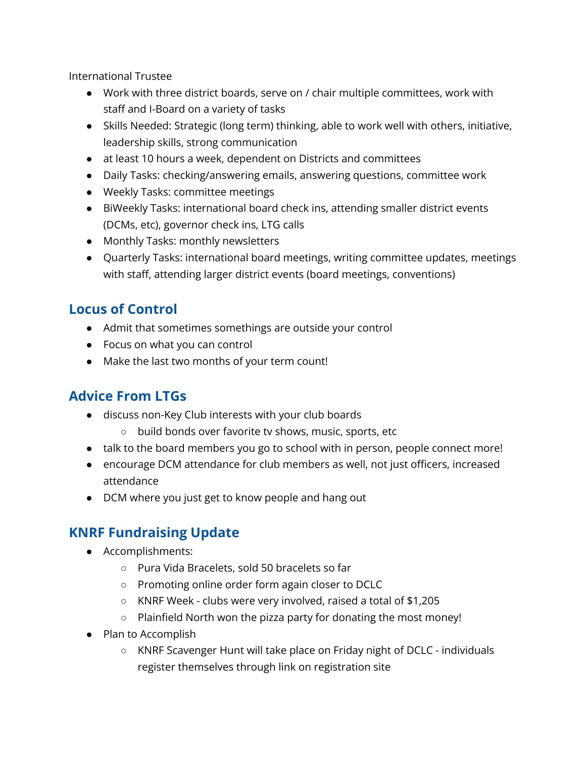International Trustee

- Work with three district boards, serve on / chair multiple committees, work with staff and I-Board on a variety of tasks
- Skills Needed: Strategic (long term) thinking, able to work well with others, initiative, leadership skills, strong communication
- at least 10 hours a week, dependent on Districts and committees
- Daily Tasks: checking/answering emails, answering questions, committee work
- Weekly Tasks: committee meetings
- BiWeekly Tasks: international board check ins, attending smaller district events (DCMs, etc), governor check ins, LTG calls
- Monthly Tasks: monthly newsletters
- Quarterly Tasks: international board meetings, writing committee updates, meetings with staff, attending larger district events (board meetings, conventions)

## **Locus of Control**

- Admit that sometimes somethings are outside your control
- Focus on what you can control
- Make the last two months of your term count!

## **Advice From LTGs**

- discuss non-Key Club interests with your club boards
	- build bonds over favorite tv shows, music, sports, etc
- talk to the board members you go to school with in person, people connect more!
- encourage DCM attendance for club members as well, not just officers, increased attendance
- DCM where you just get to know people and hang out

# **KNRF Fundraising Update**

- Accomplishments:
	- Pura Vida Bracelets, sold 50 bracelets so far
	- Promoting online order form again closer to DCLC
	- KNRF Week clubs were very involved, raised a total of \$1,205
	- Plainfield North won the pizza party for donating the most money!
- Plan to Accomplish
	- KNRF Scavenger Hunt will take place on Friday night of DCLC individuals register themselves through link on registration site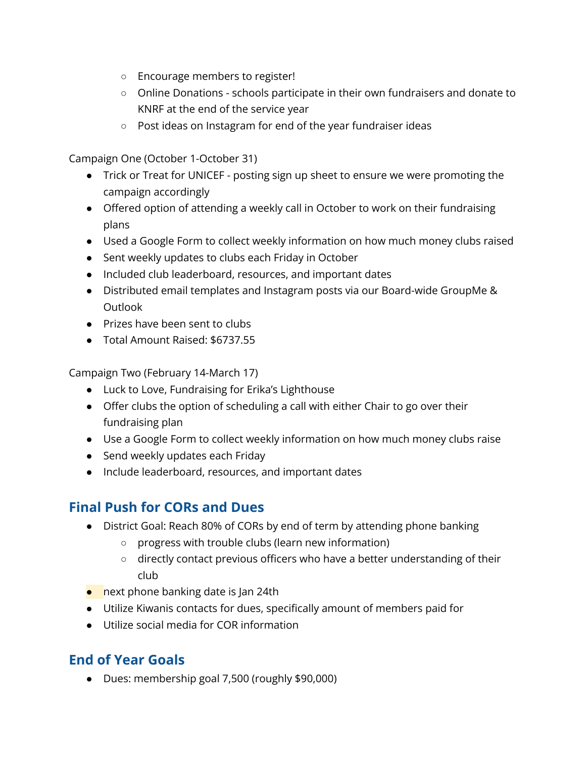- Encourage members to register!
- Online Donations schools participate in their own fundraisers and donate to KNRF at the end of the service year
- Post ideas on Instagram for end of the year fundraiser ideas

Campaign One (October 1-October 31)

- Trick or Treat for UNICEF posting sign up sheet to ensure we were promoting the campaign accordingly
- Offered option of attending a weekly call in October to work on their fundraising plans
- Used a Google Form to collect weekly information on how much money clubs raised
- Sent weekly updates to clubs each Friday in October
- Included club leaderboard, resources, and important dates
- Distributed email templates and Instagram posts via our Board-wide GroupMe & Outlook
- Prizes have been sent to clubs
- Total Amount Raised: \$6737.55

Campaign Two (February 14-March 17)

- Luck to Love, Fundraising for Erika's Lighthouse
- Offer clubs the option of scheduling a call with either Chair to go over their fundraising plan
- Use a Google Form to collect weekly information on how much money clubs raise
- Send weekly updates each Friday
- Include leaderboard, resources, and important dates

## **Final Push for CORs and Dues**

- District Goal: Reach 80% of CORs by end of term by attending phone banking
	- progress with trouble clubs (learn new information)
	- directly contact previous officers who have a better understanding of their club
- $\bullet$  next phone banking date is Jan 24th
- Utilize Kiwanis contacts for dues, specifically amount of members paid for
- Utilize social media for COR information

# **End of Year Goals**

● Dues: membership goal 7,500 (roughly \$90,000)